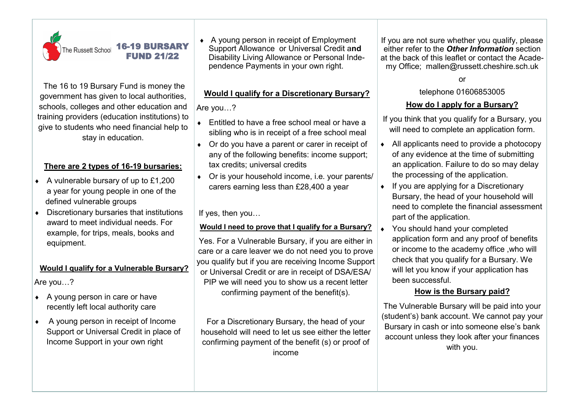

The 16 to 19 Bursary Fund is money the government has given to local authorities, schools, colleges and other education and training providers (education institutions) to give to students who need financial help to stay in education.

# **There are 2 types of 16-19 bursaries:**

- ◆ A vulnerable bursary of up to £1,200 a year for young people in one of the defined vulnerable groups
- Discretionary bursaries that institutions award to meet individual needs. For example, for trips, meals, books and equipment.

# **Would I qualify for a Vulnerable Bursary?**

Are you…?

- $\triangle$  A young person in care or have recently left local authority care
- A young person in receipt of Income Support or Universal Credit in place of Income Support in your own right

 A young person in receipt of Employment Support Allowance or Universal Credit a**nd**  Disability Living Allowance or Personal Independence Payments in your own right.

# **Would I qualify for a Discretionary Bursary?**

Are you…?

- Entitled to have a free school meal or have a sibling who is in receipt of a free school meal
- ◆ Or do you have a parent or carer in receipt of any of the following benefits: income support; tax credits; universal credits
- Or is your household income, i.e. your parents/ carers earning less than £28,400 a year

If yes, then you…

## **Would I need to prove that I qualify for a Bursary?**

Yes. For a Vulnerable Bursary, if you are either in care or a care leaver we do not need you to prove you qualify but if you are receiving Income Support or Universal Credit or are in receipt of DSA/ESA/ PIP we will need you to show us a recent letter confirming payment of the benefit(s).

For a Discretionary Bursary, the head of your household will need to let us see either the letter confirming payment of the benefit (s) or proof of income

If you are not sure whether you qualify, please either refer to the *Other Information* section at the back of this leaflet or contact the Academy Office; mallen@russett.cheshire.sch.uk

#### or

#### telephone 01606853005

# **How do I apply for a Bursary?**

If you think that you qualify for a Bursary, you will need to complete an application form.

- ◆ All applicants need to provide a photocopy of any evidence at the time of submitting an application. Failure to do so may delay the processing of the application.
- If you are applying for a Discretionary Bursary, the head of your household will need to complete the financial assessment part of the application.
- You should hand your completed application form and any proof of benefits or income to the academy office ,who will check that you qualify for a Bursary. We will let you know if your application has been successful.

# **How is the Bursary paid?**

The Vulnerable Bursary will be paid into your (student's) bank account. We cannot pay your Bursary in cash or into someone else's bank account unless they look after your finances with you.